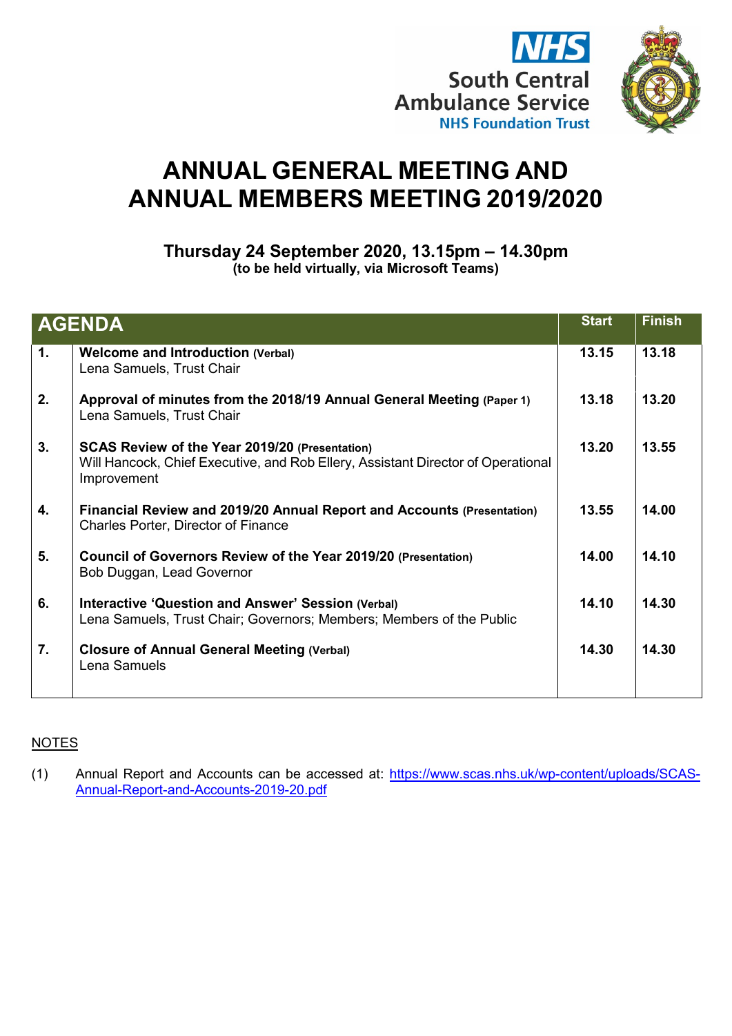

# **ANNUAL GENERAL MEETING AND ANNUAL MEMBERS MEETING 2019/2020**

**Thursday 24 September 2020, 13.15pm – 14.30pm (to be held virtually, via Microsoft Teams)**

| <b>AGENDA</b> |                                                                                                                                                          | <b>Start</b> | <b>Finish</b> |
|---------------|----------------------------------------------------------------------------------------------------------------------------------------------------------|--------------|---------------|
| 1.            | <b>Welcome and Introduction (Verbal)</b><br>Lena Samuels, Trust Chair                                                                                    | 13.15        | 13.18         |
| 2.            | Approval of minutes from the 2018/19 Annual General Meeting (Paper 1)<br>Lena Samuels, Trust Chair                                                       | 13.18        | 13.20         |
| 3.            | <b>SCAS Review of the Year 2019/20 (Presentation)</b><br>Will Hancock, Chief Executive, and Rob Ellery, Assistant Director of Operational<br>Improvement | 13.20        | 13.55         |
| 4.            | Financial Review and 2019/20 Annual Report and Accounts (Presentation)<br><b>Charles Porter, Director of Finance</b>                                     | 13.55        | 14.00         |
| 5.            | Council of Governors Review of the Year 2019/20 (Presentation)<br>Bob Duggan, Lead Governor                                                              | 14.00        | 14.10         |
| 6.            | <b>Interactive 'Question and Answer' Session (Verbal)</b><br>Lena Samuels, Trust Chair; Governors; Members; Members of the Public                        | 14.10        | 14.30         |
| 7.            | <b>Closure of Annual General Meeting (Verbal)</b><br>Lena Samuels                                                                                        | 14.30        | 14.30         |

## **NOTES**

(1) Annual Report and Accounts can be accessed at: [https://www.scas.nhs.uk/wp-content/uploads/SCAS-](https://www.scas.nhs.uk/wp-content/uploads/SCAS-Annual-Report-and-Accounts-2019-20.pdf)[Annual-Report-and-Accounts-2019-20.pdf](https://www.scas.nhs.uk/wp-content/uploads/SCAS-Annual-Report-and-Accounts-2019-20.pdf)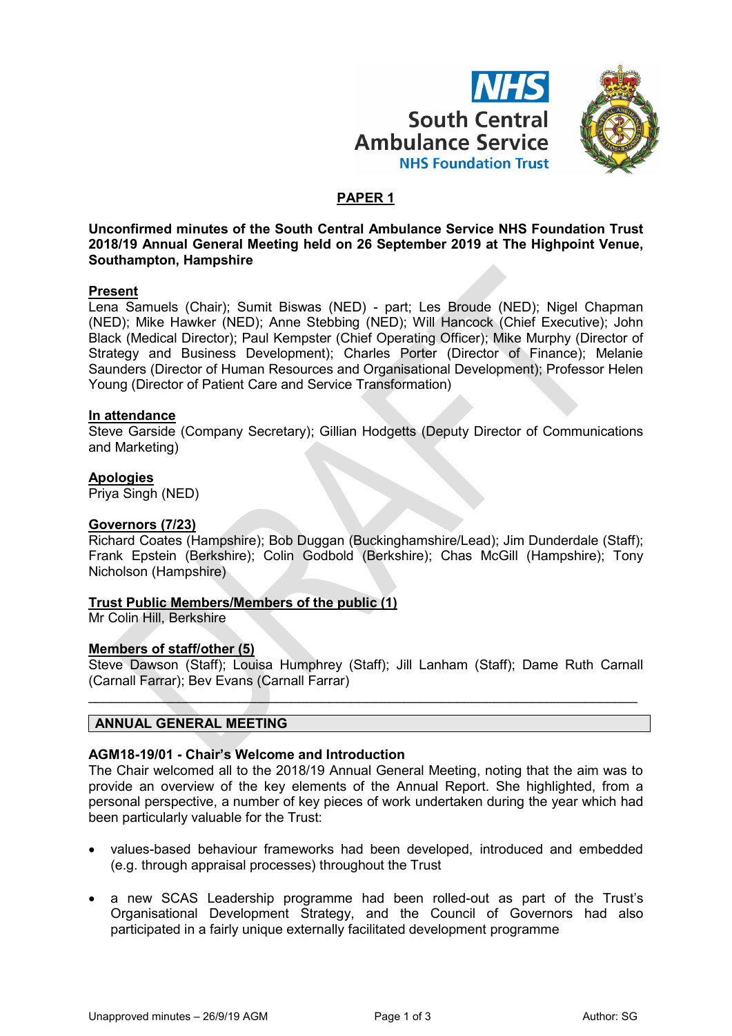



# **PAPER 1**

**Unconfirmed minutes of the South Central Ambulance Service NHS Foundation Trust 2018/19 Annual General Meeting held on 26 September 2019 at The Highpoint Venue, Southampton, Hampshire**

## **Present**

Lena Samuels (Chair); Sumit Biswas (NED) - part; Les Broude (NED); Nigel Chapman (NED); Mike Hawker (NED); Anne Stebbing (NED); Will Hancock (Chief Executive); John Black (Medical Director); Paul Kempster (Chief Operating Officer); Mike Murphy (Director of Strategy and Business Development); Charles Porter (Director of Finance); Melanie Saunders (Director of Human Resources and Organisational Development); Professor Helen Young (Director of Patient Care and Service Transformation)

## **In attendance**

Steve Garside (Company Secretary); Gillian Hodgetts (Deputy Director of Communications and Marketing)

## **Apologies**

Priya Singh (NED)

## **Governors (7/23)**

Richard Coates (Hampshire); Bob Duggan (Buckinghamshire/Lead); Jim Dunderdale (Staff); Frank Epstein (Berkshire); Colin Godbold (Berkshire); Chas McGill (Hampshire); Tony Nicholson (Hampshire)

## **Trust Public Members/Members of the public (1)**

Mr Colin Hill, Berkshire

## **Members of staff/other (5)**

Steve Dawson (Staff); Louisa Humphrey (Staff); Jill Lanham (Staff); Dame Ruth Carnall (Carnall Farrar); Bev Evans (Carnall Farrar)

\_\_\_\_\_\_\_\_\_\_\_\_\_\_\_\_\_\_\_\_\_\_\_\_\_\_\_\_\_\_\_\_\_\_\_\_\_\_\_\_\_\_\_\_\_\_\_\_\_\_\_\_\_\_\_\_\_\_\_\_\_\_\_\_\_\_\_\_\_\_\_\_\_

## **ANNUAL GENERAL MEETING**

## **AGM18-19/01 - Chair's Welcome and Introduction**

The Chair welcomed all to the 2018/19 Annual General Meeting, noting that the aim was to provide an overview of the key elements of the Annual Report. She highlighted, from a personal perspective, a number of key pieces of work undertaken during the year which had been particularly valuable for the Trust:

- values-based behaviour frameworks had been developed, introduced and embedded (e.g. through appraisal processes) throughout the Trust
- a new SCAS Leadership programme had been rolled-out as part of the Trust's Organisational Development Strategy, and the Council of Governors had also participated in a fairly unique externally facilitated development programme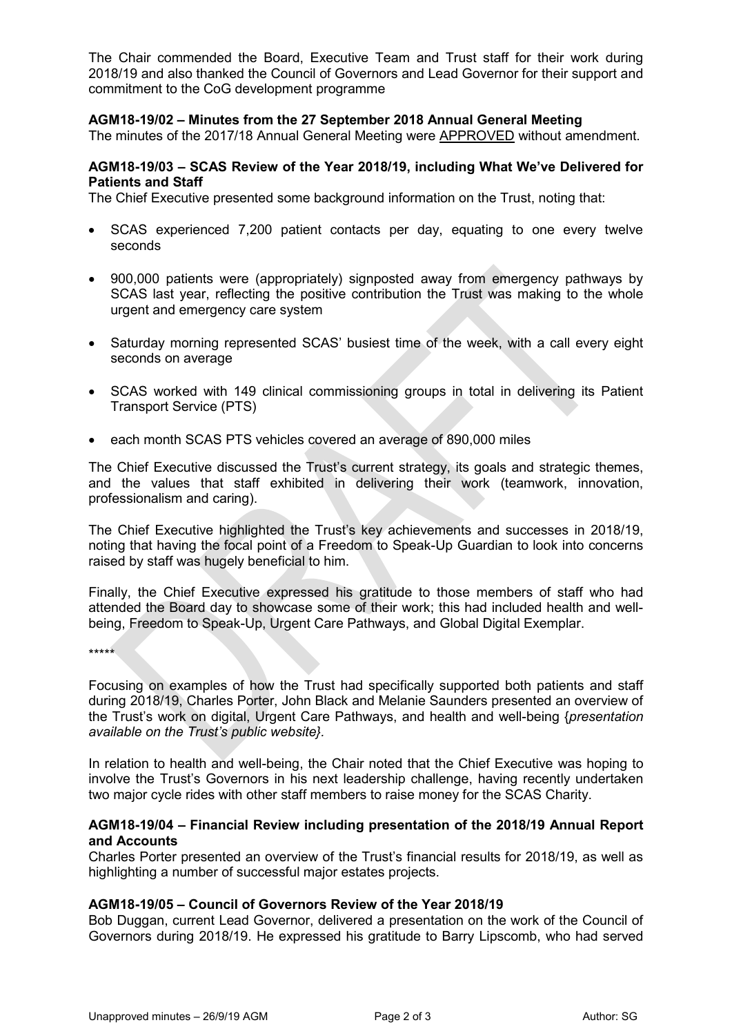The Chair commended the Board, Executive Team and Trust staff for their work during 2018/19 and also thanked the Council of Governors and Lead Governor for their support and commitment to the CoG development programme

## **AGM18-19/02 – Minutes from the 27 September 2018 Annual General Meeting**

The minutes of the 2017/18 Annual General Meeting were APPROVED without amendment.

## **AGM18-19/03 – SCAS Review of the Year 2018/19, including What We've Delivered for Patients and Staff**

The Chief Executive presented some background information on the Trust, noting that:

- SCAS experienced 7,200 patient contacts per day, equating to one every twelve seconds
- 900,000 patients were (appropriately) signposted away from emergency pathways by SCAS last year, reflecting the positive contribution the Trust was making to the whole urgent and emergency care system
- Saturday morning represented SCAS' busiest time of the week, with a call every eight seconds on average
- SCAS worked with 149 clinical commissioning groups in total in delivering its Patient Transport Service (PTS)
- each month SCAS PTS vehicles covered an average of 890,000 miles

The Chief Executive discussed the Trust's current strategy, its goals and strategic themes, and the values that staff exhibited in delivering their work (teamwork, innovation, professionalism and caring).

The Chief Executive highlighted the Trust's key achievements and successes in 2018/19, noting that having the focal point of a Freedom to Speak-Up Guardian to look into concerns raised by staff was hugely beneficial to him.

Finally, the Chief Executive expressed his gratitude to those members of staff who had attended the Board day to showcase some of their work; this had included health and wellbeing, Freedom to Speak-Up, Urgent Care Pathways, and Global Digital Exemplar.

\*\*\*\*\*

Focusing on examples of how the Trust had specifically supported both patients and staff during 2018/19, Charles Porter, John Black and Melanie Saunders presented an overview of the Trust's work on digital, Urgent Care Pathways, and health and well-being {*presentation available on the Trust's public website}.*

In relation to health and well-being, the Chair noted that the Chief Executive was hoping to involve the Trust's Governors in his next leadership challenge, having recently undertaken two major cycle rides with other staff members to raise money for the SCAS Charity.

## **AGM18-19/04 – Financial Review including presentation of the 2018/19 Annual Report and Accounts**

Charles Porter presented an overview of the Trust's financial results for 2018/19, as well as highlighting a number of successful major estates projects.

## **AGM18-19/05 – Council of Governors Review of the Year 2018/19**

Bob Duggan, current Lead Governor, delivered a presentation on the work of the Council of Governors during 2018/19. He expressed his gratitude to Barry Lipscomb, who had served